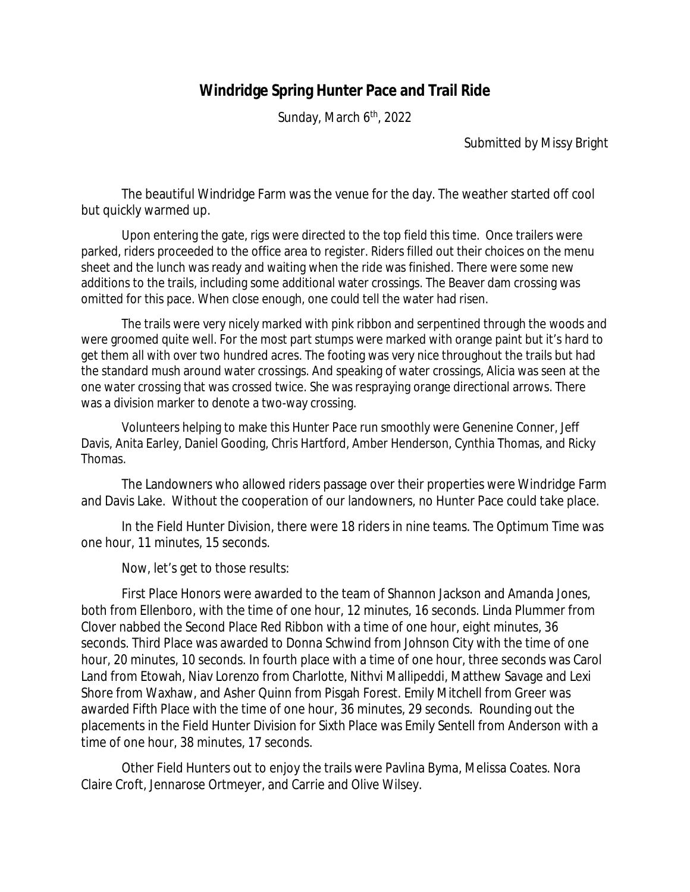## **Windridge Spring Hunter Pace and Trail Ride**

Sunday, March 6<sup>th</sup>, 2022

Submitted by Missy Bright

The beautiful Windridge Farm was the venue for the day. The weather started off cool but quickly warmed up.

Upon entering the gate, rigs were directed to the top field this time. Once trailers were parked, riders proceeded to the office area to register. Riders filled out their choices on the menu sheet and the lunch was ready and waiting when the ride was finished. There were some new additions to the trails, including some additional water crossings. The Beaver dam crossing was omitted for this pace. When close enough, one could tell the water had risen.

The trails were very nicely marked with pink ribbon and serpentined through the woods and were groomed quite well. For the most part stumps were marked with orange paint but it's hard to get them all with over two hundred acres. The footing was very nice throughout the trails but had the standard mush around water crossings. And speaking of water crossings, Alicia was seen at the one water crossing that was crossed twice. She was respraying orange directional arrows. There was a division marker to denote a two-way crossing.

Volunteers helping to make this Hunter Pace run smoothly were Genenine Conner, Jeff Davis, Anita Earley, Daniel Gooding, Chris Hartford, Amber Henderson, Cynthia Thomas, and Ricky Thomas.

The Landowners who allowed riders passage over their properties were Windridge Farm and Davis Lake. Without the cooperation of our landowners, no Hunter Pace could take place.

In the Field Hunter Division, there were 18 riders in nine teams. The Optimum Time was one hour, 11 minutes, 15 seconds.

Now, let's get to those results:

First Place Honors were awarded to the team of Shannon Jackson and Amanda Jones, both from Ellenboro, with the time of one hour, 12 minutes, 16 seconds. Linda Plummer from Clover nabbed the Second Place Red Ribbon with a time of one hour, eight minutes, 36 seconds. Third Place was awarded to Donna Schwind from Johnson City with the time of one hour, 20 minutes, 10 seconds. In fourth place with a time of one hour, three seconds was Carol Land from Etowah, Niav Lorenzo from Charlotte, Nithvi Mallipeddi, Matthew Savage and Lexi Shore from Waxhaw, and Asher Quinn from Pisgah Forest. Emily Mitchell from Greer was awarded Fifth Place with the time of one hour, 36 minutes, 29 seconds. Rounding out the placements in the Field Hunter Division for Sixth Place was Emily Sentell from Anderson with a time of one hour, 38 minutes, 17 seconds.

Other Field Hunters out to enjoy the trails were Pavlina Byma, Melissa Coates. Nora Claire Croft, Jennarose Ortmeyer, and Carrie and Olive Wilsey.